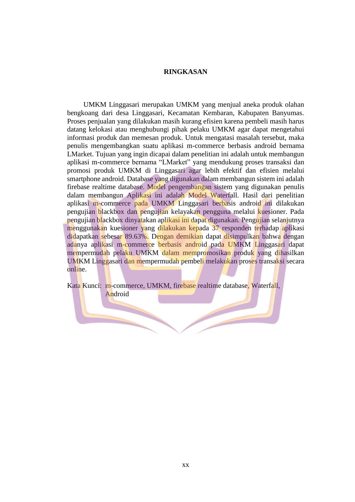## **RINGKASAN**

UMKM Linggasari merupakan UMKM yang menjual aneka produk olahan bengkoang dari desa Linggasari, Kecamatan Kembaran, Kabupaten Banyumas. Proses penjualan yang dilakukan masih kurang efisien karena pembeli masih harus datang kelokasi atau menghubungi pihak pelaku UMKM agar dapat mengetahui informasi produk dan memesan produk. Untuk mengatasi masalah tersebut, maka penulis mengembangkan suatu aplikasi m-commerce berbasis android bernama LMarket. Tujuan yang ingin dicapai dalam penelitian ini adalah untuk membangun aplikasi m-commerce bernama "LMarket" yang mendukung proses transaksi dan promosi produk UMKM di Linggasari agar lebih efektif dan efisien melalui smartphone android. Database yang digunakan dalam membangun sistem ini adalah firebase realtime database. Model pengembangan sistem yang digunakan penulis dalam membangun Aplikasi ini adalah Model Waterfall. Hasil dari penelitian aplikasi m-commerce pada UMKM Linggasari berbasis android ini dilakukan pengujian blackbox dan pengujian kelayakan pengguna melalui kuesioner. Pada pengujian blackbox dinyatakan aplikasi ini dapat digunakan. Pengujian selanjutnya menggunakan kuesioner yang dilakukan kepada 37 responden terhadap aplikasi didapatkan sebesar 89.63%. Dengan demikian dapat disimpulkan bahwa dengan adanya aplikasi m-commerce berbasis android pada UMKM Linggasari dapat mempermudah pelaku UMKM dalam mempromosikan produk yang dihasilkan UMKM Linggasari dan mempermudah pembeli melakukan proses transaksi secara online.

Kata Kunci: m-commerce, UMKM, firebase realtime database, Waterfall, Android